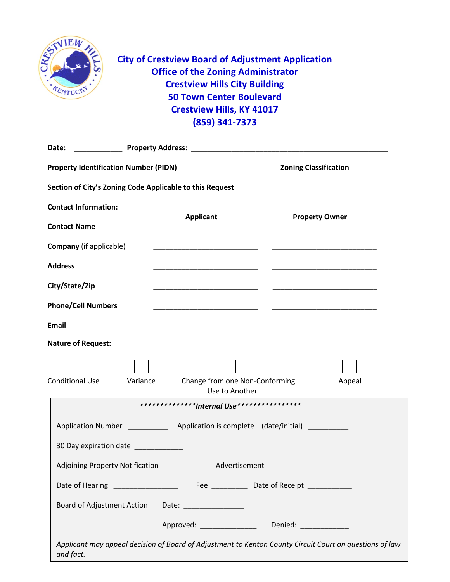

**City of Crestview Board of Adjustment Application Office of the Zoning Administrator Crestview Hills City Building 50 Town Center Boulevard Crestview Hills, KY 41017 (859) 341-7373**

| <b>Contact Information:</b>                                                       |                                                                                                                                                                                                                               |                                                      |
|-----------------------------------------------------------------------------------|-------------------------------------------------------------------------------------------------------------------------------------------------------------------------------------------------------------------------------|------------------------------------------------------|
| <b>Contact Name</b>                                                               | <b>Applicant</b>                                                                                                                                                                                                              | <b>Property Owner</b>                                |
| <b>Company</b> (if applicable)                                                    |                                                                                                                                                                                                                               |                                                      |
| <b>Address</b>                                                                    | the control of the control of the control of the control of the control of the control of the control of the control of the control of the control of the control of the control of the control of the control of the control |                                                      |
| City/State/Zip                                                                    |                                                                                                                                                                                                                               |                                                      |
| <b>Phone/Cell Numbers</b>                                                         |                                                                                                                                                                                                                               |                                                      |
| <b>Email</b>                                                                      |                                                                                                                                                                                                                               |                                                      |
| <b>Nature of Request:</b>                                                         |                                                                                                                                                                                                                               |                                                      |
| <b>Conditional Use</b>                                                            | Change from one Non-Conforming<br>Variance<br>Use to Another                                                                                                                                                                  | Appeal                                               |
| *************** <b>Internal Use****************</b>                               |                                                                                                                                                                                                                               |                                                      |
| Application Number ______________ Application is complete (date/initial) ________ |                                                                                                                                                                                                                               |                                                      |
| 30 Day expiration date ___________                                                |                                                                                                                                                                                                                               |                                                      |
|                                                                                   |                                                                                                                                                                                                                               |                                                      |
|                                                                                   | Date of Hearing _________________                                                                                                                                                                                             | Fee _________________Date of Receipt _______________ |
| Board of Adjustment Action                                                        |                                                                                                                                                                                                                               |                                                      |
|                                                                                   | Approved: _________________                                                                                                                                                                                                   | Denied: _______________                              |
| and fact.                                                                         | Applicant may appeal decision of Board of Adjustment to Kenton County Circuit Court on questions of law                                                                                                                       |                                                      |